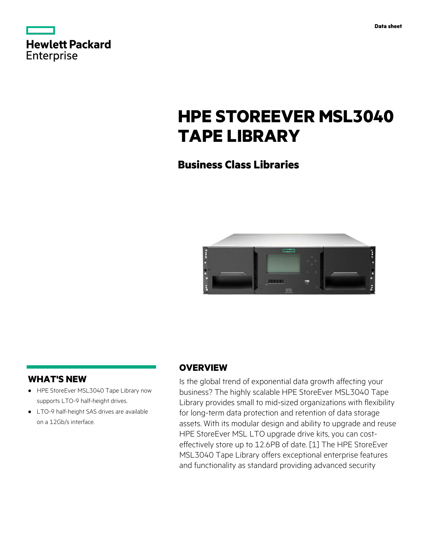| <b>Hewlett Packard</b> |  |  |
|------------------------|--|--|
| <b>Enterprise</b>      |  |  |

# **HPE STOREEVER MSL3040 TAPE LIBRARY**

# **Business Class Libraries**



### **WHAT'S NEW**

- **·** HPE StoreEver MSL3040 Tape Library now supports LTO-9 half-height drives.
- **·** LTO-9 half-height SAS drives are available on a 12Gb/s interface.

### **OVERVIEW**

Is the global trend of exponential data growth affecting your business? The highly scalable HPE StoreEver MSL3040 Tape Library provides small to mid-sized organizations with flexibility for long-term data protection and retention of data storage assets. With its modular design and ability to upgrade and reuse HPE StoreEver MSL LTO upgrade drive kits, you can costeffectively store up to 12.6PB of date. [1] The HPE StoreEver MSL3040 Tape Library offers exceptional enterprise features and functionality as standard providing advanced security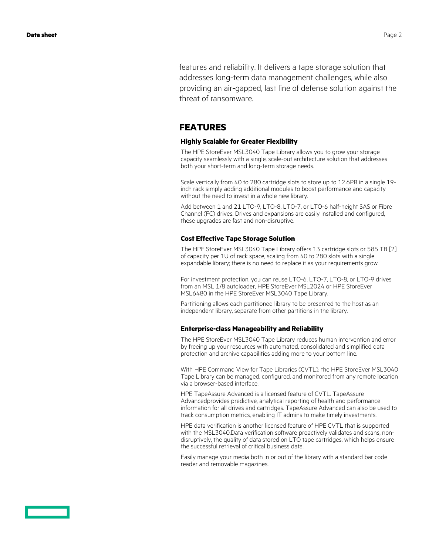features and reliability. It delivers a tape storage solution that addresses long-term data management challenges, while also providing an air-gapped, last line of defense solution against the threat of ransomware.

#### **FEATURES**

#### **Highly Scalable for Greater Flexibility**

The HPE StoreEver MSL3040 Tape Library allows you to grow your storage capacity seamlessly with a single, scale-out architecture solution that addresses both your short-term and long-term storage needs.

Scale vertically from 40 to 280 cartridge slots to store up to 12.6PB in a single 19 inch rack simply adding additional modules to boost performance and capacity without the need to invest in a whole new library.

Add between 1 and 21 LTO-9, LTO-8, LTO-7, or LTO-6 half-height SAS or Fibre Channel (FC) drives. Drives and expansions are easily installed and configured, these upgrades are fast and non-disruptive.

#### **Cost Effective Tape Storage Solution**

The HPE StoreEver MSL3040 Tape Library offers 13 cartridge slots or 585 TB [2] of capacity per 1U of rack space, scaling from 40 to 280 slots with a single expandable library; there is no need to replace it as your requirements grow.

For investment protection, you can reuse LTO-6, LTO-7, LTO-8, or LTO-9 drives from an MSL 1/8 autoloader, HPE StoreEver MSL2024 or HPE StoreEver MSL6480 in the HPE StoreEver MSL3040 Tape Library.

Partitioning allows each partitioned library to be presented to the host as an independent library, separate from other partitions in the library.

#### **Enterprise-class Manageability and Reliability**

The HPE StoreEver MSL3040 Tape Library reduces human intervention and error by freeing up your resources with automated, consolidated and simplified data protection and archive capabilities adding more to your bottom line.

With HPE Command View for Tape Libraries (CVTL), the HPE StoreEver MSL3040 Tape Library can be managed, configured, and monitored from any remote location via a browser-based interface.

HPE TapeAssure Advanced is a licensed feature of CVTL. TapeAssure Advancedprovides predictive, analytical reporting of health and performance information for all drives and cartridges. TapeAssure Advanced can also be used to track consumption metrics, enabling IT admins to make timely investments.

HPE data verification is another licensed feature of HPE CVTL that is supported with the MSL3040.Data verification software proactively validates and scans, nondisruptively, the quality of data stored on LTO tape cartridges, which helps ensure the successful retrieval of critical business data.

Easily manage your media both in or out of the library with a standard bar code reader and removable magazines.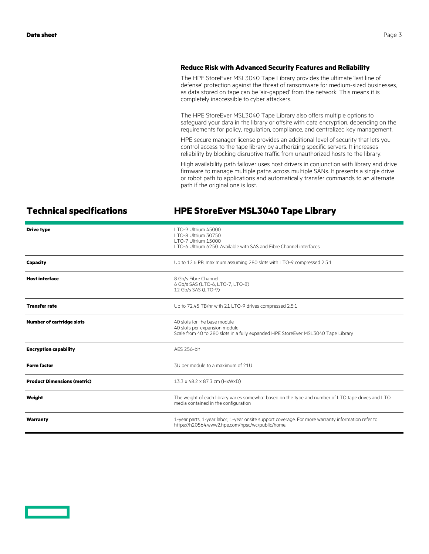#### **Reduce Risk with Advanced Security Features and Reliability**

The HPE StoreEver MSL3040 Tape Library provides the ultimate 'last line of defense' protection against the threat of ransomware for medium-sized businesses, as data stored on tape can be 'air-gapped' from the network. This means it is completely inaccessible to cyber attackers.

The HPE StoreEver MSL3040 Tape Library also offers multiple options to safeguard your data in the library or offsite with data encryption, depending on the requirements for policy, regulation, compliance, and centralized key management.

HPE secure manager license provides an additional level of security that lets you control access to the tape library by authorizing specific servers. It increases reliability by blocking disruptive traffic from unauthorized hosts to the library.

High availability path failover uses host drivers in conjunction with library and drive firmware to manage multiple paths across multiple SANs. It presents a single drive or robot path to applications and automatically transfer commands to an alternate path if the original one is lost.

## **Technical specifications HPE StoreEver MSL3040 Tape Library**

| <b>Drive type</b>                  | LTO-9 Ultrium 45000<br>LTO-8 Ultrium 30750<br>LTO-7 Ultrium 15000<br>TTO-6 Ultrium 6250. Available with SAS and Fibre Channel interfaces               |  |
|------------------------------------|--------------------------------------------------------------------------------------------------------------------------------------------------------|--|
| <b>Capacity</b>                    | Up to 12.6 PB, maximum assuming 280 slots with LTO-9 compressed 2.5:1                                                                                  |  |
| <b>Host interface</b>              | 8 Gb/s Fibre Channel<br>6 Gb/s SAS (LTO-6, LTO-7, LTO-8)<br>12 Gb/s SAS (LTO-9)                                                                        |  |
| <b>Transfer rate</b>               | Up to 72.45 TB/hr with 21 LTO-9 drives compressed 2.5:1                                                                                                |  |
| <b>Number of cartridge slots</b>   | 40 slots for the base module<br>40 slots per expansion module<br>Scale from 40 to 280 slots in a fully expanded HPE StoreEver MSL3040 Tape Library     |  |
| <b>Encryption capability</b>       | AFS 256-bit                                                                                                                                            |  |
| <b>Form factor</b>                 | 3U per module to a maximum of 21U                                                                                                                      |  |
| <b>Product Dimensions (metric)</b> | 13.3 x 48.2 x 87.3 cm (HxWxD)                                                                                                                          |  |
| Weight                             | The weight of each library varies somewhat based on the type and number of LTO tape drives and LTO<br>media contained in the configuration             |  |
| Warranty                           | 1-year parts, 1-year labor, 1-year onsite support coverage. For more warranty information refer to<br>https://h20564.www2.hpe.com/hpsc/wc/public/home. |  |